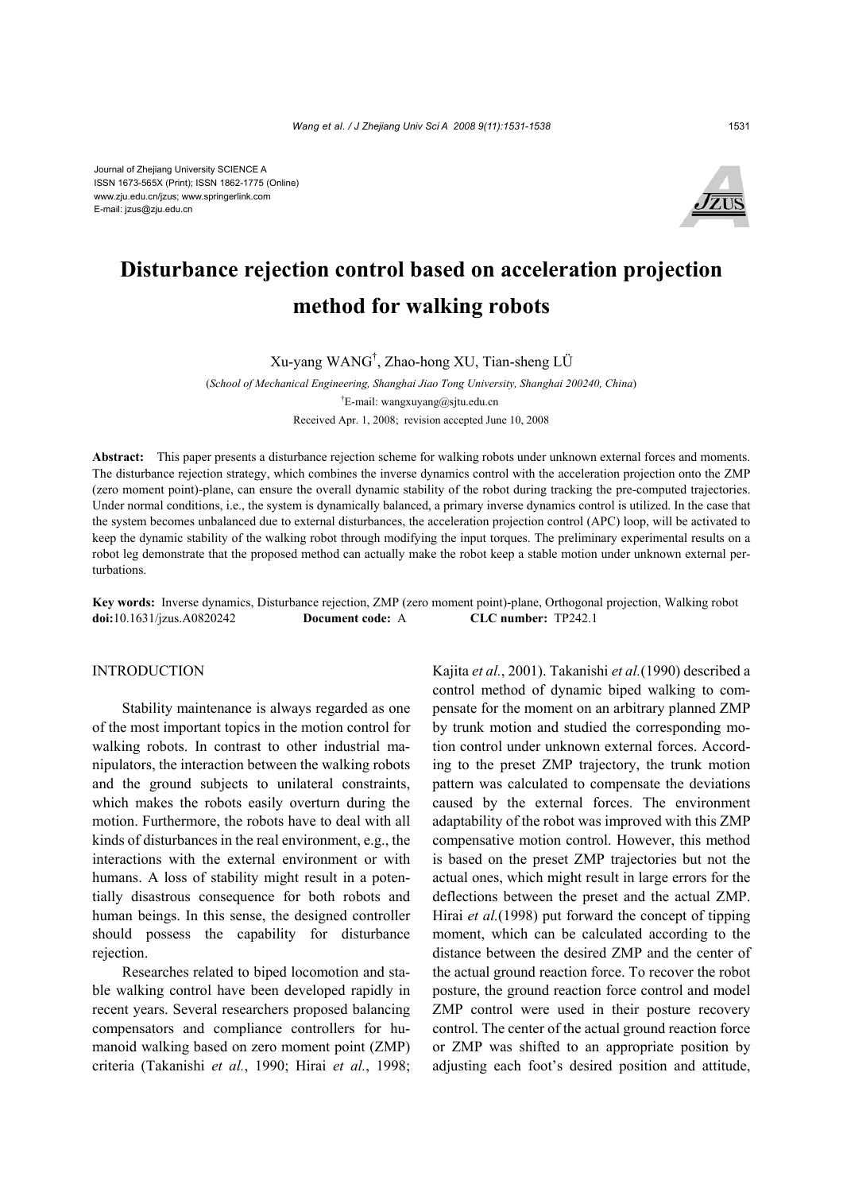

# **Disturbance rejection control based on acceleration projection method for walking robots**

Xu-yang WANG† , Zhao-hong XU, Tian-sheng LÜ

(*School of Mechanical Engineering, Shanghai Jiao Tong University, Shanghai 200240, China*) † E-mail: wangxuyang@sjtu.edu.cn Received Apr. 1, 2008; revision accepted June 10, 2008

**Abstract:** This paper presents a disturbance rejection scheme for walking robots under unknown external forces and moments. The disturbance rejection strategy, which combines the inverse dynamics control with the acceleration projection onto the ZMP (zero moment point)-plane, can ensure the overall dynamic stability of the robot during tracking the pre-computed trajectories. Under normal conditions, i.e., the system is dynamically balanced, a primary inverse dynamics control is utilized. In the case that the system becomes unbalanced due to external disturbances, the acceleration projection control (APC) loop, will be activated to keep the dynamic stability of the walking robot through modifying the input torques. The preliminary experimental results on a robot leg demonstrate that the proposed method can actually make the robot keep a stable motion under unknown external perturbations.

**Key words:** Inverse dynamics, Disturbance rejection, ZMP (zero moment point)-plane, Orthogonal projection, Walking robot **doi:**10.1631/jzus.A0820242 **Document code:** A **CLC number:** TP242.1

#### INTRODUCTION

Stability maintenance is always regarded as one of the most important topics in the motion control for walking robots. In contrast to other industrial manipulators, the interaction between the walking robots and the ground subjects to unilateral constraints, which makes the robots easily overturn during the motion. Furthermore, the robots have to deal with all kinds of disturbances in the real environment, e.g., the interactions with the external environment or with humans. A loss of stability might result in a potentially disastrous consequence for both robots and human beings. In this sense, the designed controller should possess the capability for disturbance rejection.

Researches related to biped locomotion and stable walking control have been developed rapidly in recent years. Several researchers proposed balancing compensators and compliance controllers for humanoid walking based on zero moment point (ZMP) criteria (Takanishi *et al.*, 1990; Hirai *et al.*, 1998; Kajita *et al.*, 2001). Takanishi *et al.*(1990) described a control method of dynamic biped walking to compensate for the moment on an arbitrary planned ZMP by trunk motion and studied the corresponding motion control under unknown external forces. According to the preset ZMP trajectory, the trunk motion pattern was calculated to compensate the deviations caused by the external forces. The environment adaptability of the robot was improved with this ZMP compensative motion control. However, this method is based on the preset ZMP trajectories but not the actual ones, which might result in large errors for the deflections between the preset and the actual ZMP. Hirai *et al.*(1998) put forward the concept of tipping moment, which can be calculated according to the distance between the desired ZMP and the center of the actual ground reaction force. To recover the robot posture, the ground reaction force control and model ZMP control were used in their posture recovery control. The center of the actual ground reaction force or ZMP was shifted to an appropriate position by adjusting each foot's desired position and attitude,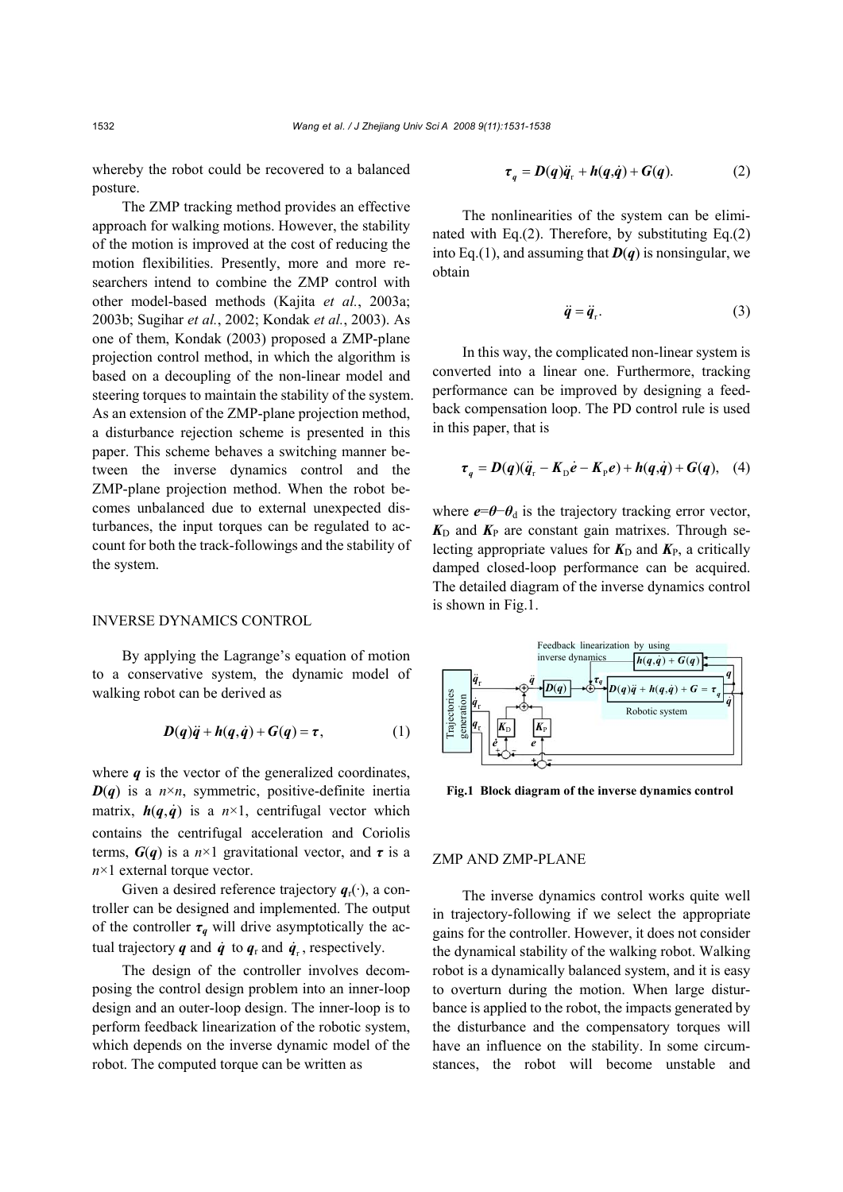whereby the robot could be recovered to a balanced posture.

The ZMP tracking method provides an effective approach for walking motions. However, the stability of the motion is improved at the cost of reducing the motion flexibilities. Presently, more and more researchers intend to combine the ZMP control with other model-based methods (Kajita *et al.*, 2003a; 2003b; Sugihar *et al.*, 2002; Kondak *et al.*, 2003). As one of them, Kondak (2003) proposed a ZMP-plane projection control method, in which the algorithm is based on a decoupling of the non-linear model and steering torques to maintain the stability of the system. As an extension of the ZMP-plane projection method, a disturbance rejection scheme is presented in this paper. This scheme behaves a switching manner between the inverse dynamics control and the ZMP-plane projection method. When the robot becomes unbalanced due to external unexpected disturbances, the input torques can be regulated to account for both the track-followings and the stability of the system.

### INVERSE DYNAMICS CONTROL

By applying the Lagrange's equation of motion to a conservative system, the dynamic model of walking robot can be derived as

$$
D(q)\ddot{q} + h(q,\dot{q}) + G(q) = \tau, \qquad (1)
$$

where  $q$  is the vector of the generalized coordinates,  $D(q)$  is a  $n \times n$ , symmetric, positive-definite inertia matrix,  $h(q, \dot{q})$  is a  $n \times 1$ , centrifugal vector which contains the centrifugal acceleration and Coriolis terms,  $G(q)$  is a  $n \times 1$  gravitational vector, and  $\tau$  is a *n*×1 external torque vector.

Given a desired reference trajectory  $q_r(\cdot)$ , a controller can be designed and implemented. The output of the controller  $\tau_q$  will drive asymptotically the actual trajectory *q* and  $\dot{q}$  to  $q_r$  and  $\dot{q}_r$ , respectively.

The design of the controller involves decomposing the control design problem into an inner-loop design and an outer-loop design. The inner-loop is to perform feedback linearization of the robotic system, which depends on the inverse dynamic model of the robot. The computed torque can be written as

$$
\tau_q = D(q)\ddot{q}_r + h(q,\dot{q}) + G(q). \tag{2}
$$

The nonlinearities of the system can be eliminated with Eq. $(2)$ . Therefore, by substituting Eq. $(2)$ into Eq.(1), and assuming that  $D(q)$  is nonsingular, we obtain

$$
\ddot{\boldsymbol{q}} = \ddot{\boldsymbol{q}}_{\rm r}.\tag{3}
$$

In this way, the complicated non-linear system is converted into a linear one. Furthermore, tracking performance can be improved by designing a feedback compensation loop. The PD control rule is used in this paper, that is

$$
\tau_q = D(q)(\ddot{q}_r - K_p \dot{e} - K_p e) + h(q, \dot{q}) + G(q), \quad (4)
$$

where  $e = \theta - \theta_d$  is the trajectory tracking error vector,  $K<sub>D</sub>$  and  $K<sub>P</sub>$  are constant gain matrixes. Through selecting appropriate values for  $K<sub>D</sub>$  and  $K<sub>P</sub>$ , a critically damped closed-loop performance can be acquired. The detailed diagram of the inverse dynamics control is shown in Fig.1.



**Fig.1 Block diagram of the inverse dynamics control**

# ZMP AND ZMP-PLANE

The inverse dynamics control works quite well in trajectory-following if we select the appropriate gains for the controller. However, it does not consider the dynamical stability of the walking robot. Walking robot is a dynamically balanced system, and it is easy to overturn during the motion. When large disturbance is applied to the robot, the impacts generated by the disturbance and the compensatory torques will have an influence on the stability. In some circum-Fraces, the robot will become unstable and the compensatory to the relationship of the root will have an influence is applied to the robot, the impacts generated by the disturbance and the compensatory to the simulation o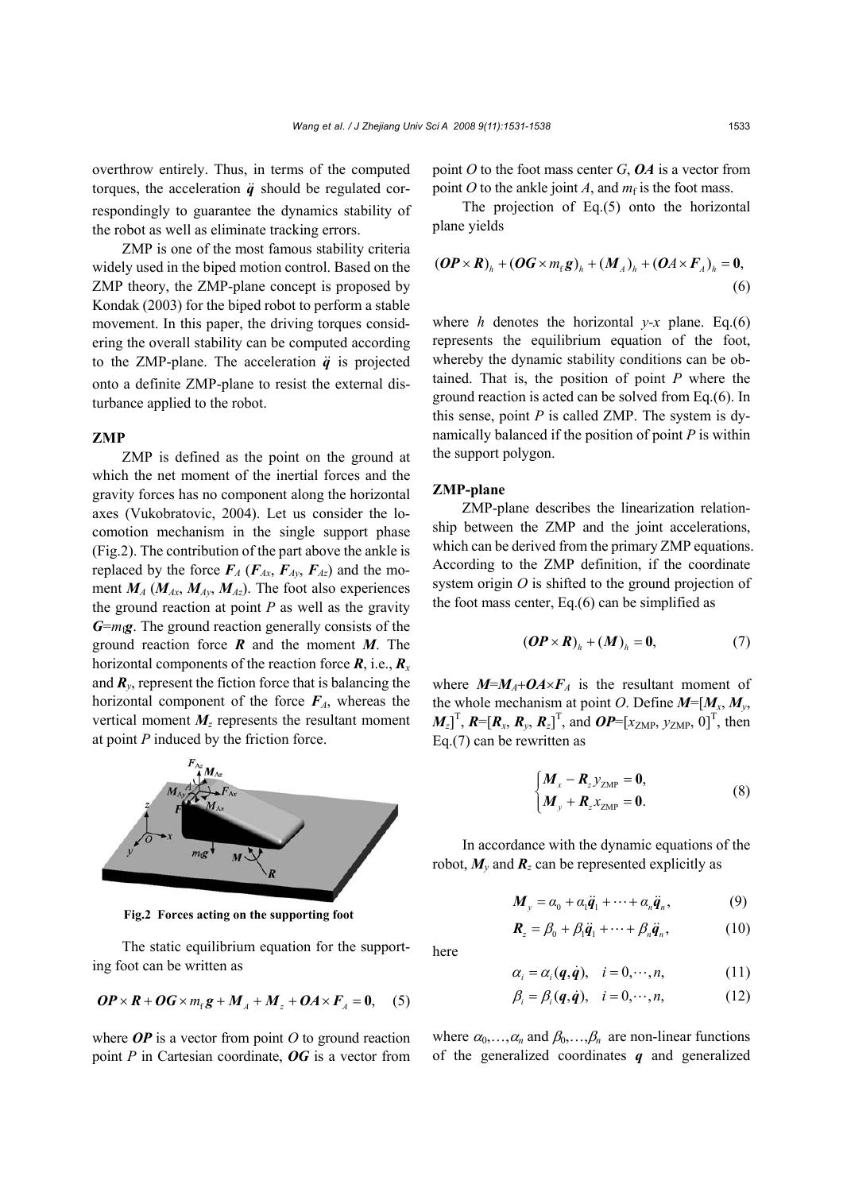overthrow entirely. Thus, in terms of the computed torques, the acceleration  $\ddot{q}$  should be regulated correspondingly to guarantee the dynamics stability of the robot as well as eliminate tracking errors.

ZMP is one of the most famous stability criteria widely used in the biped motion control. Based on the ZMP theory, the ZMP-plane concept is proposed by Kondak (2003) for the biped robot to perform a stable movement. In this paper, the driving torques considering the overall stability can be computed according to the ZMP-plane. The acceleration  $\ddot{q}$  is projected onto a definite ZMP-plane to resist the external disturbance applied to the robot.

## **ZMP**

ZMP is defined as the point on the ground at which the net moment of the inertial forces and the gravity forces has no component along the horizontal axes (Vukobratovic, 2004). Let us consider the locomotion mechanism in the single support phase (Fig.2). The contribution of the part above the ankle is replaced by the force  $F_A$  ( $F_{Ax}$ ,  $F_{Ay}$ ,  $F_{Az}$ ) and the moment  $M_A$  ( $M_{Ax}$ ,  $M_{Ay}$ ,  $M_{Az}$ ). The foot also experiences the ground reaction at point  $P$  as well as the gravity  $G=m<sub>f</sub>g$ . The ground reaction generally consists of the ground reaction force *R* and the moment *M*. The horizontal components of the reaction force *R*, i.e., *R<sup>x</sup>* and  $\mathbf{R}_v$ , represent the fiction force that is balancing the horizontal component of the force  $F_A$ , whereas the vertical moment  $M_z$  represents the resultant moment at point *P* induced by the friction force.



**Fig.2 Forces acting on the supporting foot** 

The static equilibrium equation for the supporting foot can be written as

$$
\boldsymbol{OP} \times \boldsymbol{R} + \boldsymbol{OG} \times m_f \boldsymbol{g} + \boldsymbol{M}_A + \boldsymbol{M}_z + \boldsymbol{OA} \times \boldsymbol{F}_A = \boldsymbol{0}, \quad (5)
$$

where  $OP$  is a vector from point  $O$  to ground reaction point *P* in Cartesian coordinate, *OG* is a vector from point *O* to the foot mass center *G*, *OA* is a vector from point *O* to the ankle joint *A*, and  $m_f$  is the foot mass.

The projection of Eq.(5) onto the horizontal plane yields

$$
(\boldsymbol{OP} \times \boldsymbol{R})_h + (\boldsymbol{OG} \times m_f \boldsymbol{g})_h + (\boldsymbol{M}_A)_h + (\boldsymbol{OA} \times \boldsymbol{F}_A)_h = 0,
$$
\n(6)

where *h* denotes the horizontal *y-x* plane. Eq.(6) represents the equilibrium equation of the foot, whereby the dynamic stability conditions can be obtained. That is, the position of point *P* where the ground reaction is acted can be solved from Eq.(6). In this sense, point *P* is called ZMP. The system is dynamically balanced if the position of point *P* is within the support polygon.

# **ZMP-plane**

ZMP-plane describes the linearization relationship between the ZMP and the joint accelerations, which can be derived from the primary ZMP equations. According to the ZMP definition, if the coordinate system origin *O* is shifted to the ground projection of the foot mass center, Eq.(6) can be simplified as

$$
(\boldsymbol{OP} \times \boldsymbol{R})_h + (\boldsymbol{M})_h = \boldsymbol{0},\tag{7}
$$

where  $M = M_A + OA \times F_A$  is the resultant moment of the whole mechanism at point *O*. Define  $M=[M_x, M_y,$  $(M_z]$ <sup>T</sup>,  $R = [R_x, R_y, R_z]$ <sup>T</sup>, and  $OP = [x_{ZMP}, y_{ZMP}, 0]$ <sup>T</sup>, then Eq.(7) can be rewritten as

$$
\begin{cases}\nM_x - R_z y_{\text{ZMP}} = 0, \\
M_y + R_z x_{\text{ZMP}} = 0.\n\end{cases}
$$
\n(8)

In accordance with the dynamic equations of the robot,  $M_v$  and  $R_z$  can be represented explicitly as

$$
\boldsymbol{M}_{y} = \alpha_{0} + \alpha_{1}\ddot{\boldsymbol{q}}_{1} + \cdots + \alpha_{n}\ddot{\boldsymbol{q}}_{n}, \qquad (9)
$$

$$
\boldsymbol{R}_z = \beta_0 + \beta_1 \ddot{\boldsymbol{q}}_1 + \dots + \beta_n \ddot{\boldsymbol{q}}_n, \qquad (10)
$$

here

$$
\alpha_i = \alpha_i(\mathbf{q}, \dot{\mathbf{q}}), \quad i = 0, \cdots, n,
$$
 (11)

$$
\beta_i = \beta_i(q, \dot{q}), \quad i = 0, \cdots, n,
$$
\n(12)

where  $\alpha_0, \ldots, \alpha_n$  and  $\beta_0, \ldots, \beta_n$  are non-linear functions of the generalized coordinates *q* and generalized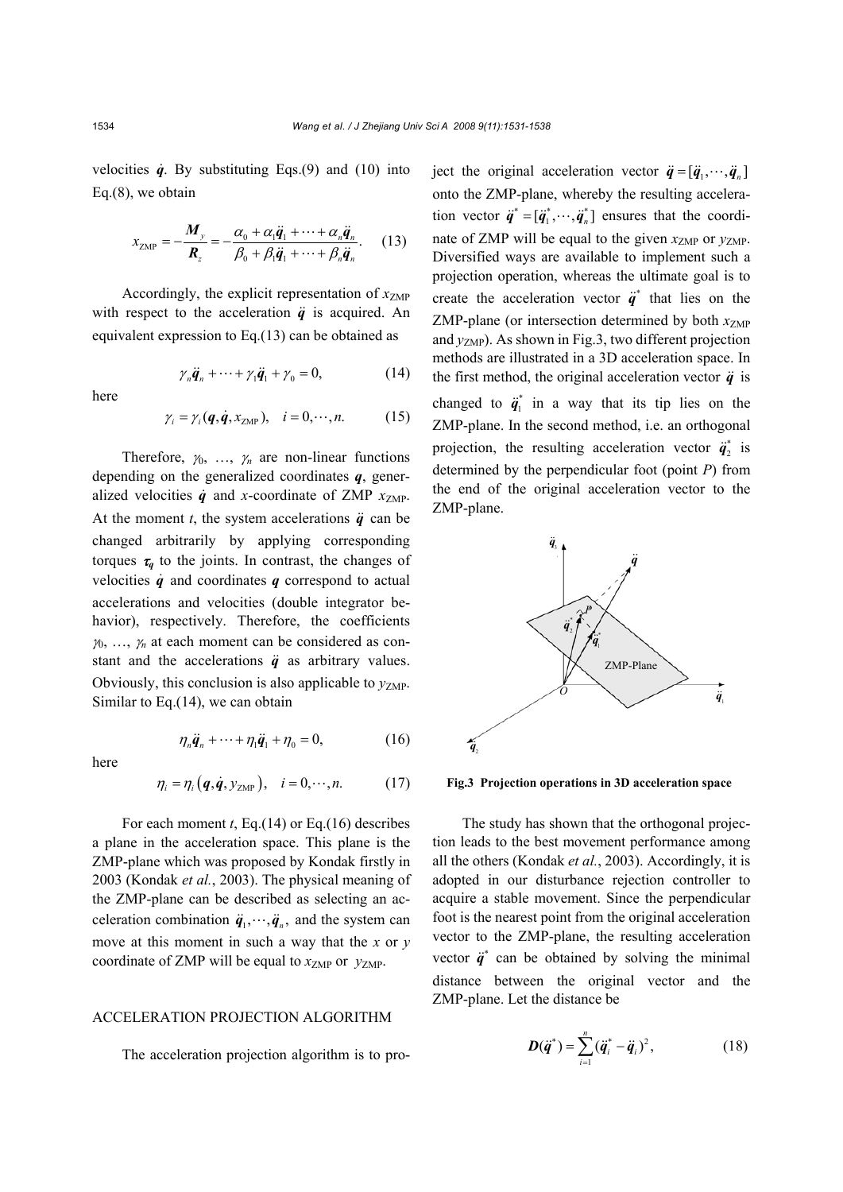velocities  $\dot{q}$ . By substituting Eqs.(9) and (10) into Eq.(8), we obtain

$$
x_{\text{ZMP}} = -\frac{M_y}{R_z} = -\frac{\alpha_0 + \alpha_1 \ddot{q}_1 + \dots + \alpha_n \ddot{q}_n}{\beta_0 + \beta_1 \ddot{q}_1 + \dots + \beta_n \ddot{q}_n}.
$$
 (13)

Accordingly, the explicit representation of  $x_{ZMP}$ with respect to the acceleration  $\ddot{q}$  is acquired. An equivalent expression to Eq.(13) can be obtained as

$$
\gamma_n \ddot{\mathbf{q}}_n + \dots + \gamma_1 \ddot{\mathbf{q}}_1 + \gamma_0 = 0, \qquad (14)
$$

here

$$
\gamma_i = \gamma_i(\mathbf{q}, \dot{\mathbf{q}}, x_{\text{ZMP}}), \quad i = 0, \cdots, n. \tag{15}
$$

Therefore,  $\gamma_0$ , ...,  $\gamma_n$  are non-linear functions depending on the generalized coordinates *q*, generalized velocities  $\dot{q}$  and *x*-coordinate of ZMP  $x_{ZMP}$ . At the moment  $t$ , the system accelerations  $\ddot{q}$  can be changed arbitrarily by applying corresponding torques  $\tau_q$  to the joints. In contrast, the changes of velocities  $\dot{q}$  and coordinates  $q$  correspond to actual accelerations and velocities (double integrator behavior), respectively. Therefore, the coefficients  $\gamma_0, \ldots, \gamma_n$  at each moment can be considered as constant and the accelerations  $\ddot{q}$  as arbitrary values. Obviously, this conclusion is also applicable to  $v_{ZMP}$ . Similar to Eq.(14), we can obtain

 $\eta_n \ddot{q}_n + \cdots + \eta_1 \ddot{q}_1 + \eta_0 = 0,$  (16)

here

$$
\eta_i = \eta_i \left( \mathbf{q}, \dot{\mathbf{q}}, \mathbf{y}_{\text{ZMP}} \right), \quad i = 0, \cdots, n. \tag{17}
$$

For each moment  $t$ , Eq.(14) or Eq.(16) describes a plane in the acceleration space. This plane is the ZMP-plane which was proposed by Kondak firstly in 2003 (Kondak *et al.*, 2003). The physical meaning of the ZMP-plane can be described as selecting an acceleration combination  $\ddot{\mathbf{q}}_1,\cdots,\ddot{\mathbf{q}}_n$ , and the system can move at this moment in such a way that the *x* or *y* coordinate of ZMP will be equal to  $x_{ZMP}$  or  $y_{ZMP}$ .

## ACCELERATION PROJECTION ALGORITHM

The acceleration projection algorithm is to pro-

ject the original acceleration vector  $\ddot{\mathbf{q}} = [\ddot{\mathbf{q}}_1, \cdots, \ddot{\mathbf{q}}_n]$ onto the ZMP-plane, whereby the resulting acceleration vector  $\ddot{\mathbf{q}}^* = [\ddot{\mathbf{q}}_1^*, \cdots, \ddot{\mathbf{q}}_n^*]$  ensures that the coordinate of ZMP will be equal to the given  $x_{ZMP}$  or  $y_{ZMP}$ . Diversified ways are available to implement such a projection operation, whereas the ultimate goal is to create the acceleration vector  $\ddot{q}^*$  that lies on the ZMP-plane (or intersection determined by both  $x_{ZMP}$ and  $v_{ZMP}$ ). As shown in Fig.3, two different projection methods are illustrated in a 3D acceleration space. In the first method, the original acceleration vector  $\ddot{q}$  is changed to  $\ddot{q}_1^*$  in a way that its tip lies on the ZMP-plane. In the second method, i.e. an orthogonal projection, the resulting acceleration vector  $\ddot{q}_2^*$  is determined by the perpendicular foot (point *P*) from the end of the original acceleration vector to the ZMP-plane.



**Fig.3 Projection operations in 3D acceleration space** 

The study has shown that the orthogonal projection leads to the best movement performance among all the others (Kondak *et al.*, 2003). Accordingly, it is adopted in our disturbance rejection controller to acquire a stable movement. Since the perpendicular foot is the nearest point from the original acceleration vector to the ZMP-plane, the resulting acceleration vector  $\ddot{q}^*$  can be obtained by solving the minimal distance between the original vector and the ZMP-plane. Let the distance be

$$
\boldsymbol{D}(\ddot{\boldsymbol{q}}^{*}) = \sum_{i=1}^{n} (\ddot{\boldsymbol{q}}_{i}^{*} - \ddot{\boldsymbol{q}}_{i})^{2},
$$
 (18)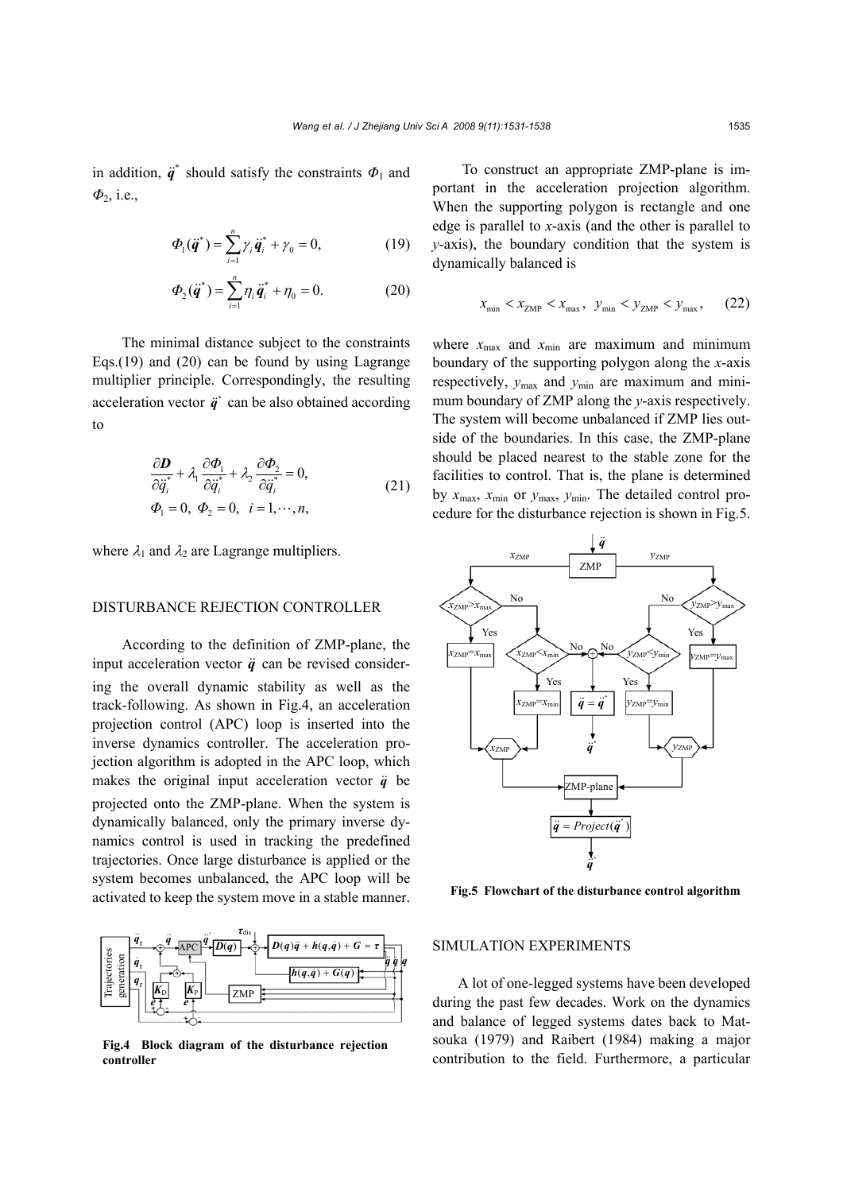in addition,  $\ddot{\boldsymbol{q}}^*$  should satisfy the constraints  $\boldsymbol{\Phi}_1$  and *Φ*2, i.e.,

$$
\Phi_{1}(\ddot{\boldsymbol{q}}^{*}) = \sum_{i=1}^{n} \gamma_{i} \ddot{\boldsymbol{q}}_{i}^{*} + \gamma_{0} = 0, \qquad (19)
$$

$$
\Phi_2(\ddot{\boldsymbol{q}}^*) = \sum_{i=1}^n \eta_i \ddot{\boldsymbol{q}}_i^* + \eta_0 = 0.
$$
 (20)

The minimal distance subject to the constraints Eqs.(19) and (20) can be found by using Lagrange multiplier principle. Correspondingly, the resulting acceleration vector  $\ddot{q}^*$  can be also obtained according to

$$
\frac{\partial \mathbf{D}}{\partial \ddot{q}_i^*} + \lambda_1 \frac{\partial \Phi_1}{\partial \ddot{q}_i^*} + \lambda_2 \frac{\partial \Phi_2}{\partial \ddot{q}_i^*} = 0,
$$
\n
$$
\Phi_1 = 0, \ \Phi_2 = 0, \ \ i = 1, \cdots, n,
$$
\n(21)

where  $\lambda_1$  and  $\lambda_2$  are Lagrange multipliers.

#### DISTURBANCE REJECTION CONTROLLER

According to the definition of ZMP-plane, the input acceleration vector  $\ddot{q}$  can be revised considering the overall dynamic stability as well as the track-following. As shown in Fig.4, an acceleration projection control (APC) loop is inserted into the inverse dynamics controller. The acceleration projection algorithm is adopted in the APC loop, which makes the original input acceleration vector  $\ddot{q}$  be projected onto the ZMP-plane. When the system is dynamically balanced, only the primary inverse dynamics control is used in tracking the predefined trajectories. Once large disturbance is applied or the system becomes unbalanced, the APC loop will be activated to keep the system move in a stable manner.



**Fig.4 Block diagram of the disturbance rejection controller** 

To construct an appropriate ZMP-plane is important in the acceleration projection algorithm. When the supporting polygon is rectangle and one edge is parallel to *x*-axis (and the other is parallel to *y*-axis), the boundary condition that the system is dynamically balanced is

$$
x_{\min} < x_{\text{ZMP}} < x_{\max}, \ y_{\min} < y_{\text{ZMP}} < y_{\max}, \tag{22}
$$

where  $x_{\text{max}}$  and  $x_{\text{min}}$  are maximum and minimum boundary of the supporting polygon along the *x*-axis respectively,  $y_{\text{max}}$  and  $y_{\text{min}}$  are maximum and minimum boundary of ZMP along the *y*-axis respectively. The system will become unbalanced if ZMP lies outside of the boundaries. In this case, the ZMP-plane should be placed nearest to the stable zone for the facilities to control. That is, the plane is determined by  $x_{\text{max}}$ ,  $x_{\text{min}}$  or  $y_{\text{max}}$ ,  $y_{\text{min}}$ . The detailed control procedure for the disturbance rejection is shown in Fig.5.



**Fig.5 Flowchart of the disturbance control algorithm**

## SIMULATION EXPERIMENTS

A lot of one-legged systems have been developed during the past few decades. Work on the dynamics and balance of legged systems dates back to Matsouka (1979) and Raibert (1984) making a major contribution to the field. Furthermore, a particular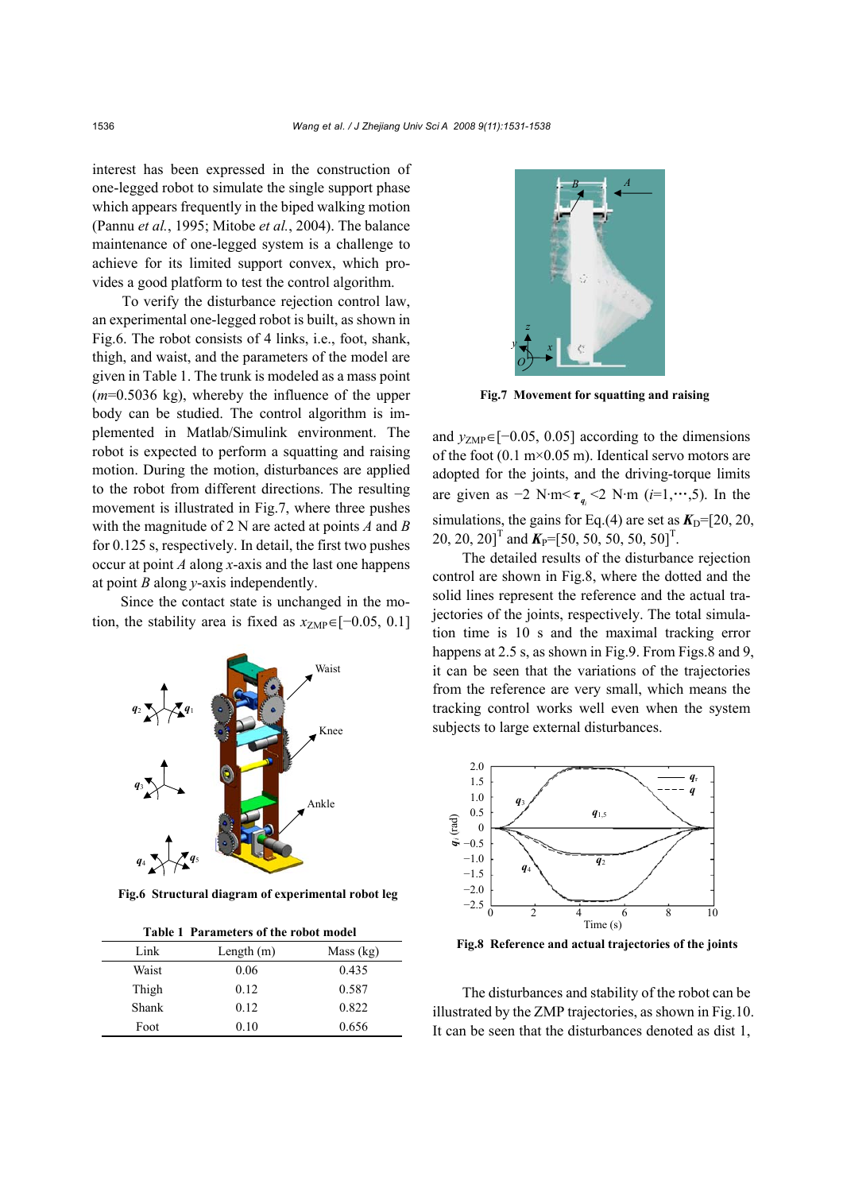interest has been expressed in the construction of one-legged robot to simulate the single support phase which appears frequently in the biped walking motion (Pannu *et al.*, 1995; Mitobe *et al.*, 2004). The balance maintenance of one-legged system is a challenge to achieve for its limited support convex, which provides a good platform to test the control algorithm.

To verify the disturbance rejection control law, an experimental one-legged robot is built, as shown in Fig.6. The robot consists of 4 links, i.e., foot, shank, thigh, and waist, and the parameters of the model are given in Table 1. The trunk is modeled as a mass point (*m*=0.5036 kg), whereby the influence of the upper body can be studied. The control algorithm is implemented in Matlab/Simulink environment. The robot is expected to perform a squatting and raising motion. During the motion, disturbances are applied to the robot from different directions. The resulting movement is illustrated in Fig.7, where three pushes with the magnitude of 2 N are acted at points *A* and *B* for 0.125 s, respectively. In detail, the first two pushes occur at point *A* along *x*-axis and the last one happens at point *B* along *y*-axis independently.

Since the contact state is unchanged in the motion, the stability area is fixed as  $x_{ZMP} \in [-0.05, 0.1]$ 



**Fig.6 Structural diagram of experimental robot leg** 

**Table 1 Parameters of the robot model** 

| Link  | Length $(m)$ | Mass (kg) |
|-------|--------------|-----------|
| Waist | 0.06         | 0.435     |
| Thigh | 0.12         | 0.587     |
| Shank | 0.12         | 0.822     |
| Foot  | 0.10         | 0.656     |



**Fig.7 Movement for squatting and raising** 

and  $y_{ZMP} \in [-0.05, 0.05]$  according to the dimensions of the foot (0.1 m×0.05 m). Identical servo motors are adopted for the joints, and the driving-torque limits are given as  $-2$  N·m  $\tau_a$  <2 N·m (*i*=1,…,5). In the simulations, the gains for Eq.(4) are set as  $K<sub>D</sub>=[20, 20,$ 20, 20, 20]<sup>T</sup> and  $K_{\text{P}}$ =[50, 50, 50, 50, 50]<sup>T</sup>.

The detailed results of the disturbance rejection control are shown in Fig.8, where the dotted and the solid lines represent the reference and the actual trajectories of the joints, respectively. The total simulation time is 10 s and the maximal tracking error happens at 2.5 s, as shown in Fig.9. From Figs.8 and 9, it can be seen that the variations of the trajectories from the reference are very small, which means the tracking control works well even when the system subjects to large external disturbances.



**Fig.8 Reference and actual trajectories of the joints**

The disturbances and stability of the robot can be illustrated by the ZMP trajectories, as shown in Fig.10. It can be seen that the disturbances denoted as dist 1,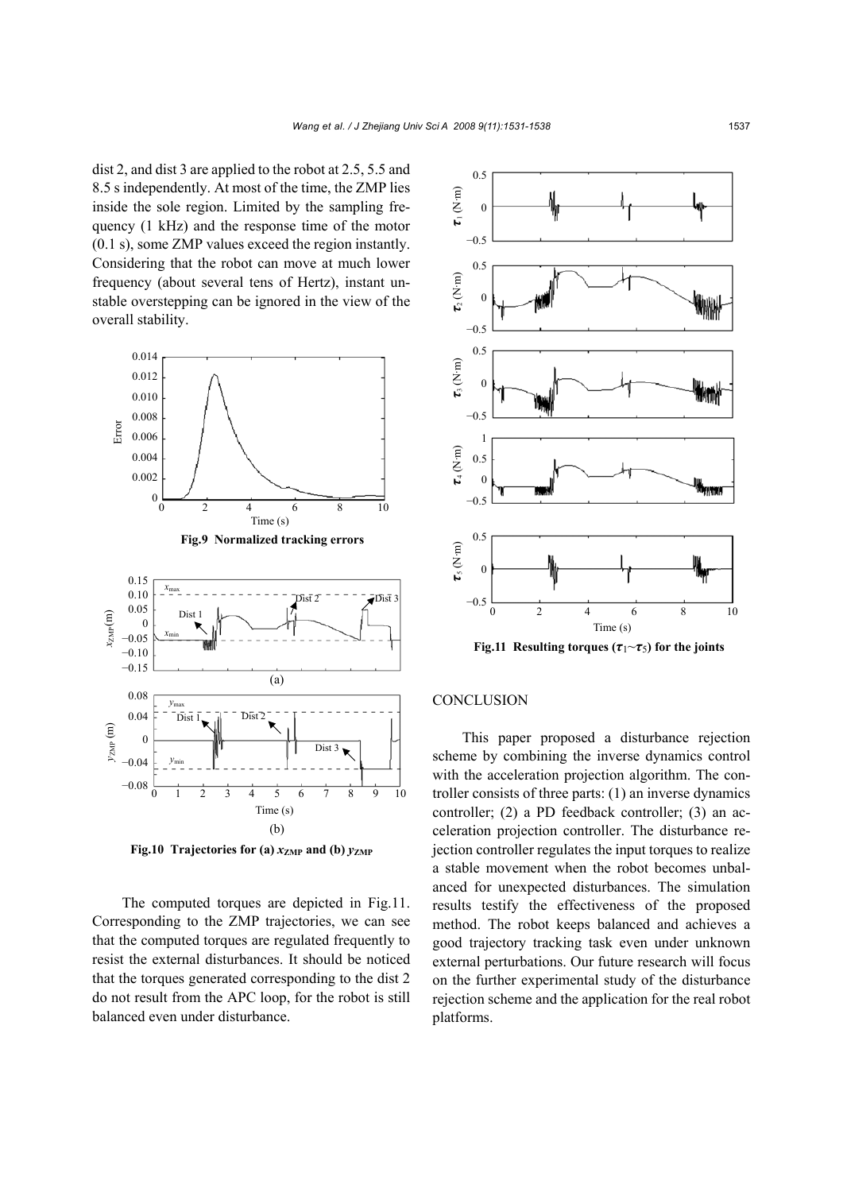dist 2, and dist 3 are applied to the robot at 2.5, 5.5 and 8.5 s independently. At most of the time, the ZMP lies inside the sole region. Limited by the sampling frequency (1 kHz) and the response time of the motor (0.1 s), some ZMP values exceed the region instantly. Considering that the robot can move at much lower frequency (about several tens of Hertz), instant unstable overstepping can be ignored in the view of the overall stability.



**Fig.10 Trajectories for (a)**  $x_{ZMP}$  and (b)  $y_{ZMP}$ 

The computed torques are depicted in Fig.11. Corresponding to the ZMP trajectories, we can see that the computed torques are regulated frequently to resist the external disturbances. It should be noticed that the torques generated corresponding to the dist 2 do not result from the APC loop, for the robot is still balanced even under disturbance.



**Fig.11** Resulting torques ( $\tau_1 \sim \tau_5$ ) for the joints

### **CONCLUSION**

This paper proposed a disturbance rejection scheme by combining the inverse dynamics control with the acceleration projection algorithm. The controller consists of three parts: (1) an inverse dynamics controller; (2) a PD feedback controller; (3) an acceleration projection controller. The disturbance rejection controller regulates the input torques to realize a stable movement when the robot becomes unbalanced for unexpected disturbances. The simulation results testify the effectiveness of the proposed method. The robot keeps balanced and achieves a good trajectory tracking task even under unknown external perturbations. Our future research will focus on the further experimental study of the disturbance rejection scheme and the application for the real robot platforms.